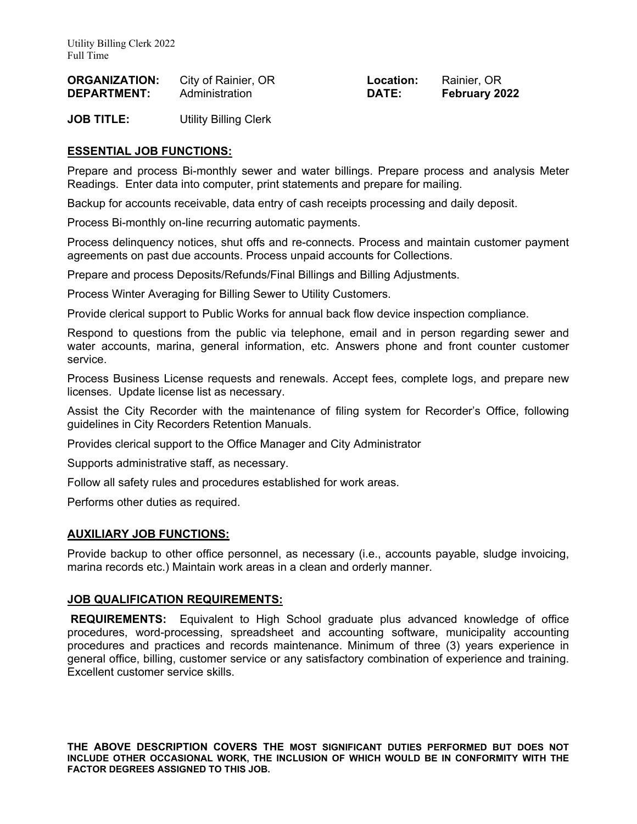| <b>ORGANIZATION:</b> | City of Rainier, OR | Location: | Rainier, OR   |
|----------------------|---------------------|-----------|---------------|
| <b>DEPARTMENT:</b>   | Administration      | DATE:     | February 2022 |

**JOB TITLE:** Utility Billing Clerk

## **ESSENTIAL JOB FUNCTIONS:**

Prepare and process Bi-monthly sewer and water billings. Prepare process and analysis Meter Readings. Enter data into computer, print statements and prepare for mailing.

Backup for accounts receivable, data entry of cash receipts processing and daily deposit.

Process Bi-monthly on-line recurring automatic payments.

Process delinquency notices, shut offs and re-connects. Process and maintain customer payment agreements on past due accounts. Process unpaid accounts for Collections.

Prepare and process Deposits/Refunds/Final Billings and Billing Adjustments.

Process Winter Averaging for Billing Sewer to Utility Customers.

Provide clerical support to Public Works for annual back flow device inspection compliance.

Respond to questions from the public via telephone, email and in person regarding sewer and water accounts, marina, general information, etc. Answers phone and front counter customer service.

Process Business License requests and renewals. Accept fees, complete logs, and prepare new licenses. Update license list as necessary.

Assist the City Recorder with the maintenance of filing system for Recorder's Office, following guidelines in City Recorders Retention Manuals.

Provides clerical support to the Office Manager and City Administrator

Supports administrative staff, as necessary.

Follow all safety rules and procedures established for work areas.

Performs other duties as required.

## **AUXILIARY JOB FUNCTIONS:**

Provide backup to other office personnel, as necessary (i.e., accounts payable, sludge invoicing, marina records etc.) Maintain work areas in a clean and orderly manner.

## **JOB QUALIFICATION REQUIREMENTS:**

 **REQUIREMENTS:** Equivalent to High School graduate plus advanced knowledge of office procedures, word-processing, spreadsheet and accounting software, municipality accounting procedures and practices and records maintenance. Minimum of three (3) years experience in general office, billing, customer service or any satisfactory combination of experience and training. Excellent customer service skills.

**THE ABOVE DESCRIPTION COVERS THE MOST SIGNIFICANT DUTIES PERFORMED BUT DOES NOT INCLUDE OTHER OCCASIONAL WORK, THE INCLUSION OF WHICH WOULD BE IN CONFORMITY WITH THE FACTOR DEGREES ASSIGNED TO THIS JOB.**